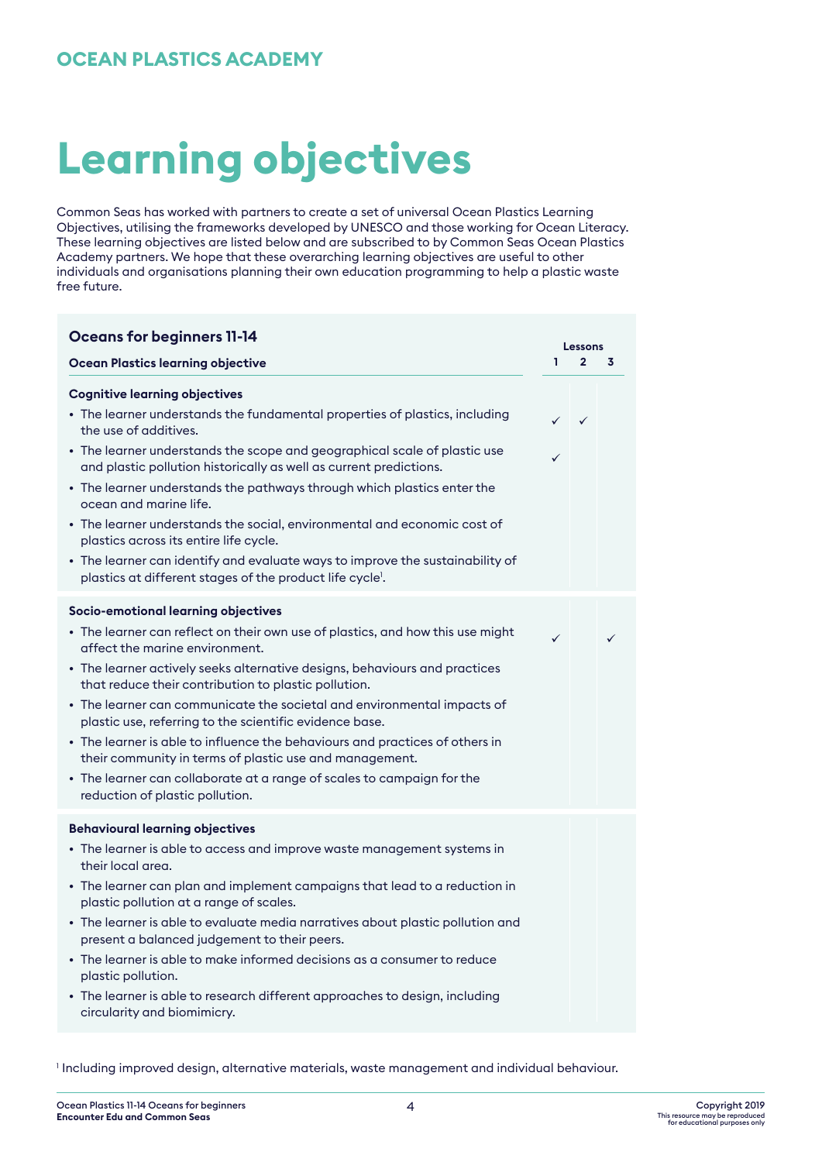### **OCEAN PLASTICS ACADEMY**

# **Learning objectives**

Common Seas has worked with partners to create a set of universal Ocean Plastics Learning Objectives, utilising the frameworks developed by UNESCO and those working for Ocean Literacy. These learning objectives are listed below and are subscribed to by Common Seas Ocean Plastics Academy partners. We hope that these overarching learning objectives are useful to other individuals and organisations planning their own education programming to help a plastic waste free future.

| <b>Oceans for beginners 11-14</b>                                                                                                                                                                                                                                                                                                                                                                                                                                                                                                                                                                                                                                                           |              | Lessons        |   |
|---------------------------------------------------------------------------------------------------------------------------------------------------------------------------------------------------------------------------------------------------------------------------------------------------------------------------------------------------------------------------------------------------------------------------------------------------------------------------------------------------------------------------------------------------------------------------------------------------------------------------------------------------------------------------------------------|--------------|----------------|---|
| <b>Ocean Plastics learning objective</b>                                                                                                                                                                                                                                                                                                                                                                                                                                                                                                                                                                                                                                                    | ı.           | $\overline{2}$ | 3 |
| <b>Cognitive learning objectives</b><br>• The learner understands the fundamental properties of plastics, including<br>the use of additives.<br>• The learner understands the scope and geographical scale of plastic use<br>and plastic pollution historically as well as current predictions.<br>• The learner understands the pathways through which plastics enter the<br>ocean and marine life.<br>• The learner understands the social, environmental and economic cost of<br>plastics across its entire life cycle.<br>• The learner can identify and evaluate ways to improve the sustainability of<br>plastics at different stages of the product life cycle'.                     | ✓            | $\sqrt{2}$     |   |
| Socio-emotional learning objectives<br>• The learner can reflect on their own use of plastics, and how this use might<br>affect the marine environment.<br>• The learner actively seeks alternative designs, behaviours and practices<br>that reduce their contribution to plastic pollution.<br>• The learner can communicate the societal and environmental impacts of<br>plastic use, referring to the scientific evidence base.<br>• The learner is able to influence the behaviours and practices of others in<br>their community in terms of plastic use and management.<br>• The learner can collaborate at a range of scales to campaign for the<br>reduction of plastic pollution. | $\checkmark$ |                |   |
| <b>Behavioural learning objectives</b><br>• The learner is able to access and improve waste management systems in<br>their local area.<br>• The learner can plan and implement campaigns that lead to a reduction in<br>plastic pollution at a range of scales.<br>• The learner is able to evaluate media narratives about plastic pollution and<br>present a balanced judgement to their peers.<br>• The learner is able to make informed decisions as a consumer to reduce<br>plastic pollution.<br>• The learner is able to research different approaches to design, including<br>circularity and biomimicry.                                                                           |              |                |   |

1 Including improved design, alternative materials, waste management and individual behaviour.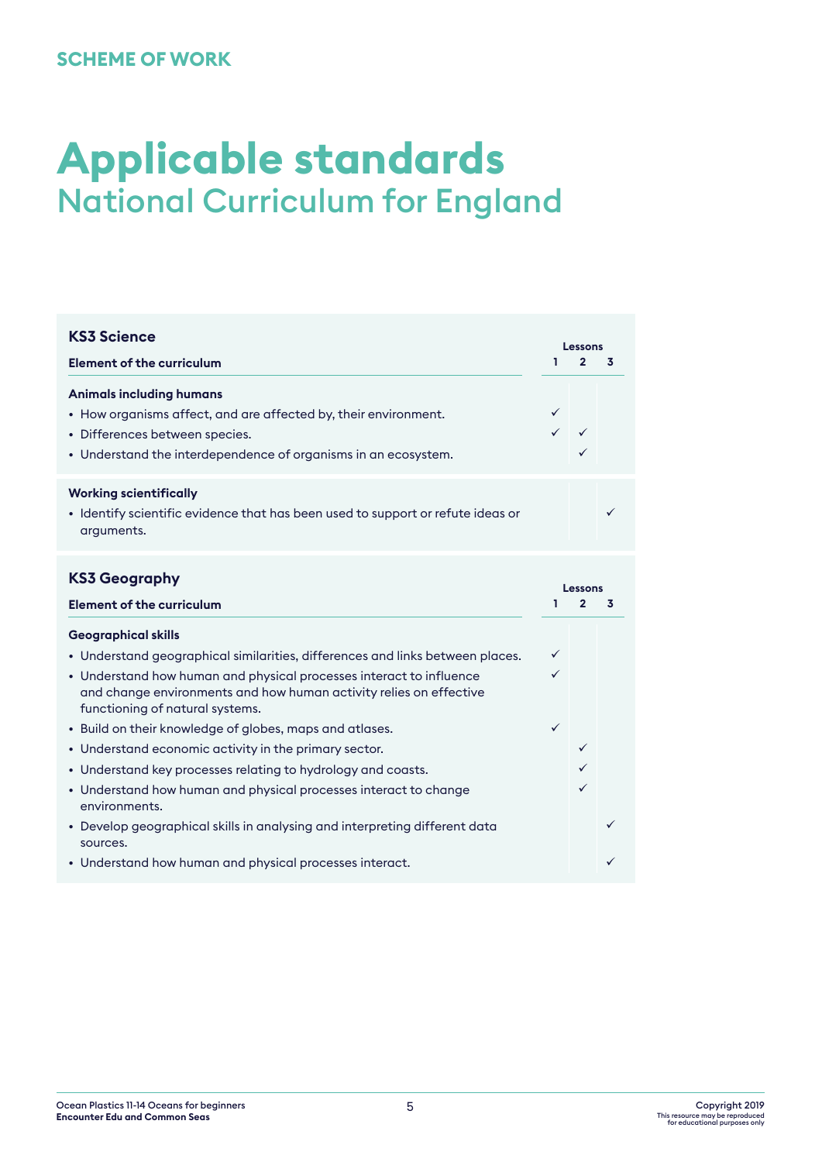### **SCHEME OF WORK**

## **Applicable standards** National Curriculum for England

| <b>KS3 Science</b>                                                                                                                                                                                                                                            |                                     |                | Lessons |  |  |
|---------------------------------------------------------------------------------------------------------------------------------------------------------------------------------------------------------------------------------------------------------------|-------------------------------------|----------------|---------|--|--|
| <b>Element of the curriculum</b>                                                                                                                                                                                                                              | ı.                                  | $\overline{2}$ | 3       |  |  |
| <b>Animals including humans</b><br>• How organisms affect, and are affected by, their environment.<br>• Differences between species.<br>• Understand the interdependence of organisms in an ecosystem.                                                        | ✓                                   | ✓              |         |  |  |
| <b>Working scientifically</b><br>• Identify scientific evidence that has been used to support or refute ideas or<br>arguments.                                                                                                                                |                                     |                |         |  |  |
| <b>KS3 Geography</b><br><b>Element of the curriculum</b>                                                                                                                                                                                                      | Lessons<br>$\overline{2}$<br>ı<br>3 |                |         |  |  |
| <b>Geographical skills</b>                                                                                                                                                                                                                                    |                                     |                |         |  |  |
| • Understand geographical similarities, differences and links between places.<br>• Understand how human and physical processes interact to influence<br>and change environments and how human activity relies on effective<br>functioning of natural systems. | ✓<br>✓                              |                |         |  |  |
| • Build on their knowledge of globes, maps and atlases.<br>• Understand economic activity in the primary sector.                                                                                                                                              | $\checkmark$                        | ✓              |         |  |  |
| • Understand key processes relating to hydrology and coasts.                                                                                                                                                                                                  |                                     |                |         |  |  |
| • Understand how human and physical processes interact to change<br>environments.                                                                                                                                                                             |                                     | ✓              |         |  |  |
| • Develop geographical skills in analysing and interpreting different data<br>sources.                                                                                                                                                                        |                                     |                |         |  |  |
| • Understand how human and physical processes interact.                                                                                                                                                                                                       |                                     |                |         |  |  |